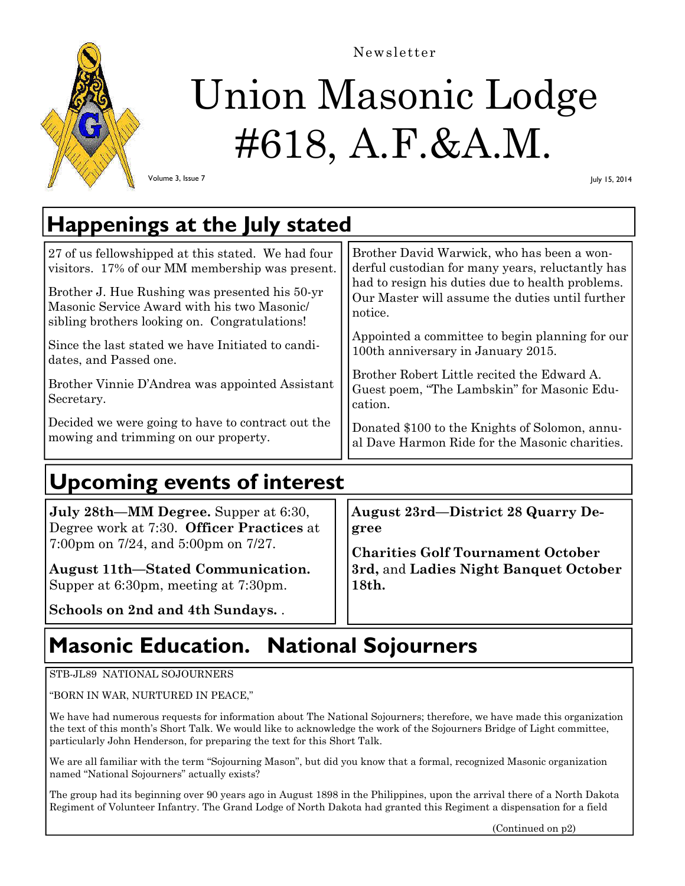

Newsletter

# Union Masonic Lodge #618, A.F.&A.M.

Volume 3, Issue 7

July 15, 2014

# **Happenings at the July stated**

| 27 of us fellowshipped at this stated. We had four<br>visitors. 17% of our MM membership was present. | Brother David Warwick, who has been a won-<br>derful custodian for many years, reluctantly has      |  |
|-------------------------------------------------------------------------------------------------------|-----------------------------------------------------------------------------------------------------|--|
| Brother J. Hue Rushing was presented his 50-yr                                                        | had to resign his duties due to health problems.<br>Our Master will assume the duties until further |  |
| Masonic Service Award with his two Masonic<br>sibling brothers looking on. Congratulations!           | notice.                                                                                             |  |
| Since the last stated we have Initiated to candi-<br>dates, and Passed one.                           | Appointed a committee to begin planning for our<br>100th anniversary in January 2015.               |  |
|                                                                                                       | Brother Robert Little recited the Edward A.                                                         |  |
| Brother Vinnie D'Andrea was appointed Assistant                                                       | Guest poem, "The Lambskin" for Masonic Edu-                                                         |  |
| Secretary.                                                                                            | cation.                                                                                             |  |
| Decided we were going to have to contract out the<br>mowing and trimming on our property.             | Donated \$100 to the Knights of Solomon, annu-<br>al Dave Harmon Ride for the Masonic charities.    |  |
|                                                                                                       |                                                                                                     |  |

# **Upcoming events of interest**

| <b>July 28th—MM Degree.</b> Supper at 6:30,                            | <b>August 23rd—District 28 Quarry De-</b> |
|------------------------------------------------------------------------|-------------------------------------------|
| Degree work at 7:30. Officer Practices at                              | gree                                      |
| 7:00pm on $7/24$ , and $5:00$ pm on $7/27$ .                           | <b>Charities Golf Tournament October</b>  |
| <b>August 11th–Stated Communication.</b>                               | 3rd, and Ladies Night Banquet October     |
| Supper at 6:30pm, meeting at 7:30pm.<br>Schools on 2nd and 4th Sundays | $\vert 18$ th.                            |

# **Masonic Education. National Sojourners**

#### STB-JL89 NATIONAL SOJOURNERS

"BORN IN WAR, NURTURED IN PEACE,"

We have had numerous requests for information about The National Sojourners; therefore, we have made this organization the text of this month's Short Talk. We would like to acknowledge the work of the Sojourners Bridge of Light committee, particularly John Henderson, for preparing the text for this Short Talk.

We are all familiar with the term "Sojourning Mason", but did you know that a formal, recognized Masonic organization named "National Sojourners" actually exists?

The group had its beginning over 90 years ago in August 1898 in the Philippines, upon the arrival there of a North Dakota Regiment of Volunteer Infantry. The Grand Lodge of North Dakota had granted this Regiment a dispensation for a field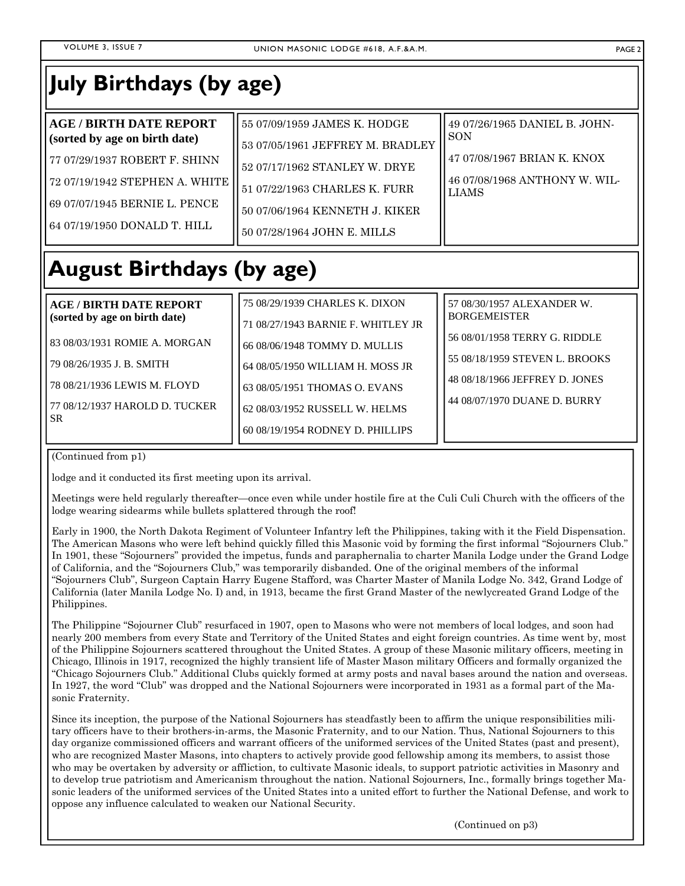### **July Birthdays (by age)**

| <b>AGE / BIRTH DATE REPORT</b> | 55 07/09/1959 JAMES K. HODGE     | 49 07/26/1965 DANIEL B. JOHN-                 |
|--------------------------------|----------------------------------|-----------------------------------------------|
| (sorted by age on birth date)  | 53 07/05/1961 JEFFREY M. BRADLEY | <b>SON</b>                                    |
| 77 07/29/1937 ROBERT F. SHINN  | 52 07/17/1962 STANLEY W. DRYE    | 47 07/08/1967 BRIAN K. KNOX                   |
| 72 07/19/1942 STEPHEN A. WHITE | 51 07/22/1963 CHARLES K. FURR    | 46 07/08/1968 ANTHONY W. WIL-<br><b>LIAMS</b> |
| 69 07/07/1945 BERNIE L. PENCE  | 50 07/06/1964 KENNETH J. KIKER   |                                               |
| 64 07/19/1950 DONALD T. HILL   | 50 07/28/1964 JOHN E. MILLS      |                                               |
|                                |                                  |                                               |

# **August Birthdays (by age)**

**AGE / BIRTH DATE REPORT (sorted by age on birth date)** 

83 08/03/1931 ROMIE A. MORGAN

79 08/26/1935 J. B. SMITH

78 08/21/1936 LEWIS M. FLOYD

77 08/12/1937 HAROLD D. TUCKER SR

75 08/29/1939 CHARLES K. DIXON 71 08/27/1943 BARNIE F. WHITLEY JR 66 08/06/1948 TOMMY D. MULLIS 64 08/05/1950 WILLIAM H. MOSS JR 63 08/05/1951 THOMAS O. EVANS 62 08/03/1952 RUSSELL W. HELMS 60 08/19/1954 RODNEY D. PHILLIPS

(Continued from p1)

lodge and it conducted its first meeting upon its arrival.

Meetings were held regularly thereafter—once even while under hostile fire at the Culi Culi Church with the officers of the lodge wearing sidearms while bullets splattered through the roof!

Early in 1900, the North Dakota Regiment of Volunteer Infantry left the Philippines, taking with it the Field Dispensation. The American Masons who were left behind quickly filled this Masonic void by forming the first informal "Sojourners Club." In 1901, these "Sojourners" provided the impetus, funds and paraphernalia to charter Manila Lodge under the Grand Lodge of California, and the "Sojourners Club," was temporarily disbanded. One of the original members of the informal "Sojourners Club", Surgeon Captain Harry Eugene Stafford, was Charter Master of Manila Lodge No. 342, Grand Lodge of California (later Manila Lodge No. I) and, in 1913, became the first Grand Master of the newlycreated Grand Lodge of the Philippines.

The Philippine "Sojourner Club" resurfaced in 1907, open to Masons who were not members of local lodges, and soon had nearly 200 members from every State and Territory of the United States and eight foreign countries. As time went by, most of the Philippine Sojourners scattered throughout the United States. A group of these Masonic military officers, meeting in Chicago, Illinois in 1917, recognized the highly transient life of Master Mason military Officers and formally organized the "Chicago Sojourners Club." Additional Clubs quickly formed at army posts and naval bases around the nation and overseas. In 1927, the word "Club" was dropped and the National Sojourners were incorporated in 1931 as a formal part of the Masonic Fraternity.

Since its inception, the purpose of the National Sojourners has steadfastly been to affirm the unique responsibilities military officers have to their brothers-in-arms, the Masonic Fraternity, and to our Nation. Thus, National Sojourners to this day organize commissioned officers and warrant officers of the uniformed services of the United States (past and present), who are recognized Master Masons, into chapters to actively provide good fellowship among its members, to assist those who may be overtaken by adversity or affliction, to cultivate Masonic ideals, to support patriotic activities in Masonry and to develop true patriotism and Americanism throughout the nation. National Sojourners, Inc., formally brings together Masonic leaders of the uniformed services of the United States into a united effort to further the National Defense, and work to oppose any influence calculated to weaken our National Security.

(Continued on p3)

57 08/30/1957 ALEXANDER W.

56 08/01/1958 TERRY G. RIDDLE 55 08/18/1959 STEVEN L. BROOKS 48 08/18/1966 JEFFREY D. JONES 44 08/07/1970 DUANE D. BURRY

BORGEMEISTER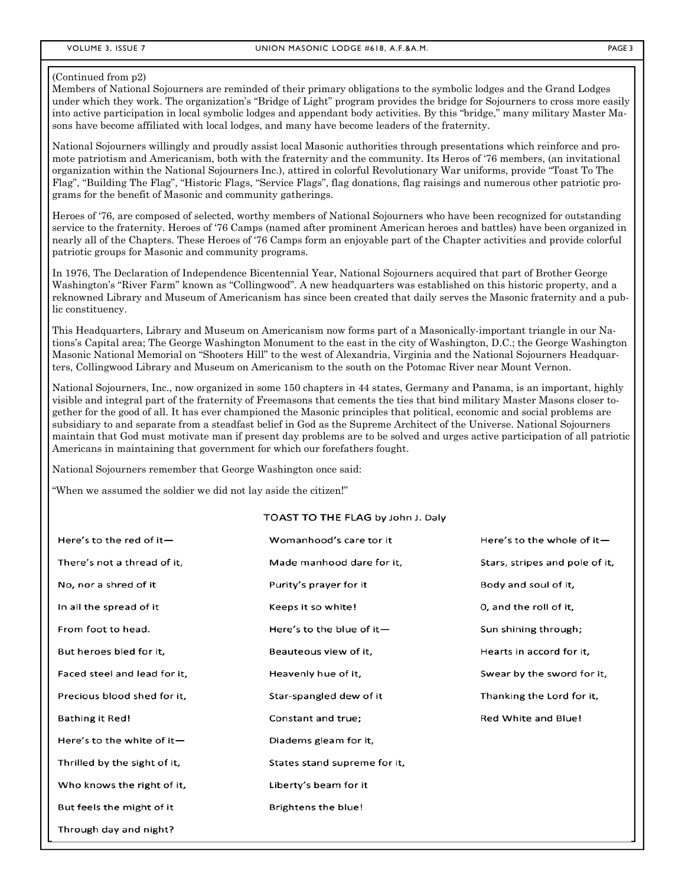#### (Continued from p2)

Members of National Sojourners are reminded of their primary obligations to the symbolic lodges and the Grand Lodges under which they work. The organization's "Bridge of Light" program provides the bridge for Sojourners to cross more easily into active participation in local symbolic lodges and appendant body activities. By this "bridge," many military Master Masons have become affiliated with local lodges, and many have become leaders of the fraternity.

National Sojourners willingly and proudly assist local Masonic authorities through presentations which reinforce and promote patriotism and Americanism, both with the fraternity and the community. Its Heros of '76 members, (an invitational organization within the National Sojourners Inc.), attired in colorful Revolutionary War uniforms, provide "Toast To The Flag", "Building The Flag", "Historic Flags, "Service Flags", flag donations, flag raisings and numerous other patriotic programs for the benefit of Masonic and community gatherings.

Heroes of '76, are composed of selected, worthy members of National Sojourners who have been recognized for outstanding service to the fraternity. Heroes of '76 Camps (named after prominent American heroes and battles) have been organized in nearly all of the Chapters. These Heroes of '76 Camps form an enjoyable part of the Chapter activities and provide colorful patriotic groups for Masonic and community programs.

In 1976, The Declaration of Independence Bicentennial Year, National Sojourners acquired that part of Brother George Washington's "River Farm" known as "Collingwood". A new headquarters was established on this historic property, and a reknowned Library and Museum of Americanism has since been created that daily serves the Masonic fraternity and a public constituency.

This Headquarters, Library and Museum on Americanism now forms part of a Masonically-important triangle in our Nations's Capital area; The George Washington Monument to the east in the city of Washington, D.C.; the George Washington Masonic National Memorial on "Shooters Hill" to the west of Alexandria, Virginia and the National Sojourners Headquarters, Collingwood Library and Museum on Americanism to the south on the Potomac River near Mount Vernon.

National Sojourners, Inc., now organized in some 150 chapters in 44 states, Germany and Panama, is an important, highly visible and integral part of the fraternity of Freemasons that cements the ties that bind military Master Masons closer together for the good of all. It has ever championed the Masonic principles that political, economic and social problems are subsidiary to and separate from a steadfast belief in God as the Supreme Architect of the Universe. National Sojourners maintain that God must motivate man if present day problems are to be solved and urges active participation of all patriotic Americans in maintaining that government for which our forefathers fought.

National Sojourners remember that George Washington once said:

"When we assumed the soldier we did not lay aside the citizen!"

#### TOAST TO THE FLAG by John J. Daly

| Here's to the red of it-     | Womanhood's care tor it      | Here's to the whole of it-     |
|------------------------------|------------------------------|--------------------------------|
| There's not a thread of it,  | Made manhood dare for it,    | Stars, stripes and pole of it, |
| No, nor a shred of it        | Purity's prayer for it       | Body and soul of it,           |
| In all the spread of it      | Keeps it so white!           | 0, and the roll of it,         |
| From foot to head.           | Here's to the blue of it-    | Sun shining through;           |
| But heroes bled for it,      | Beauteous view of it,        | Hearts in accord for it,       |
| Faced steel and lead for it, | Heavenly hue of it,          | Swear by the sword for it,     |
| Precious blood shed for it,  | Star-spangled dew of it      | Thanking the Lord for it,      |
| <b>Bathing it Red!</b>       | Constant and true;           | Red White and Blue!            |
| Here's to the white of it-   | Diadems gleam for it,        |                                |
| Thrilled by the sight of it, | States stand supreme for it, |                                |
| Who knows the right of it,   | Liberty's beam for it        |                                |
| But feels the might of it    | Brightens the blue!          |                                |
| Through day and night?       |                              |                                |